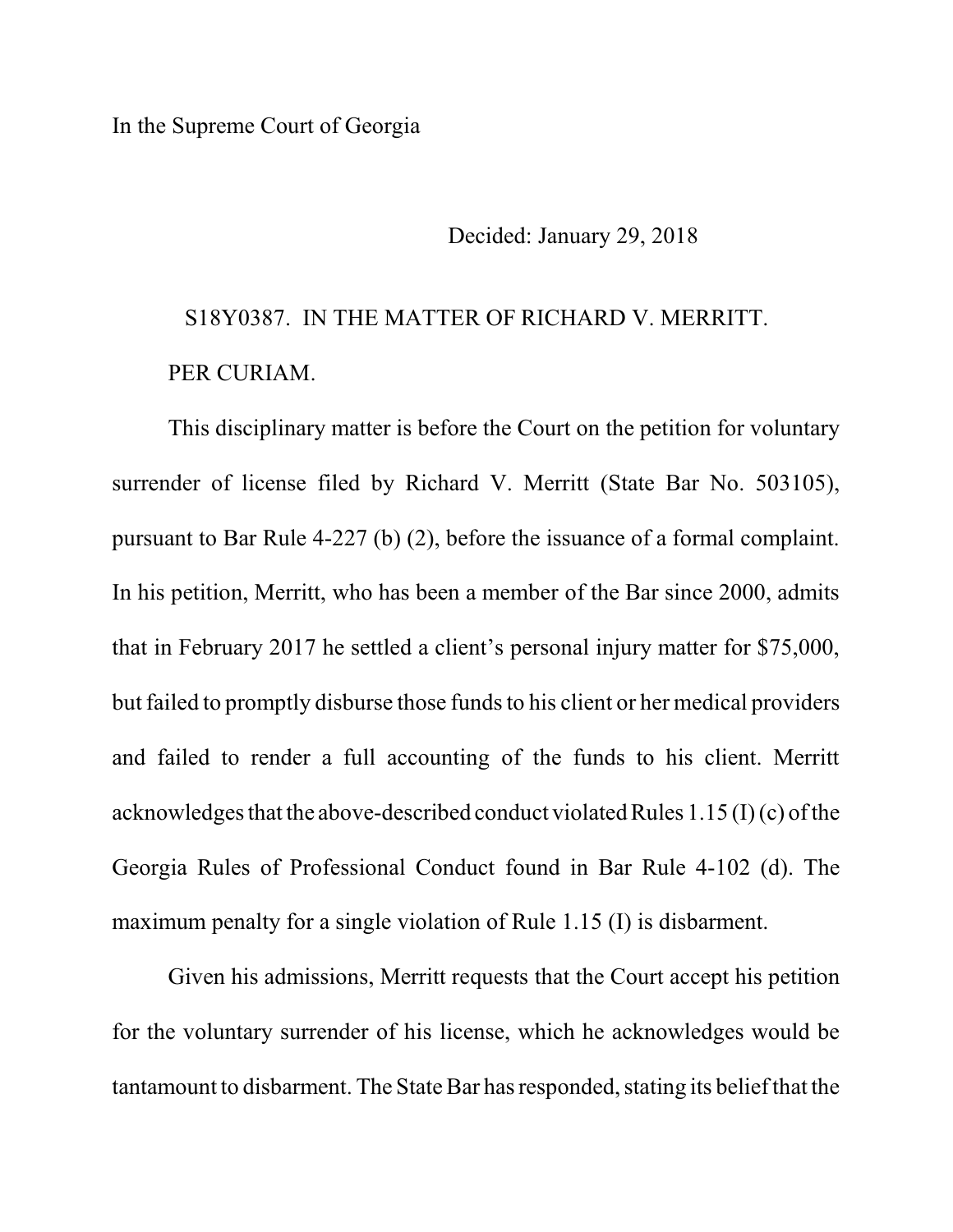## In the Supreme Court of Georgia

Decided: January 29, 2018

## S18Y0387. IN THE MATTER OF RICHARD V. MERRITT. PER CURIAM.

This disciplinary matter is before the Court on the petition for voluntary surrender of license filed by Richard V. Merritt (State Bar No. 503105), pursuant to Bar Rule 4-227 (b) (2), before the issuance of a formal complaint. In his petition, Merritt, who has been a member of the Bar since 2000, admits that in February 2017 he settled a client's personal injury matter for \$75,000, but failed to promptly disburse those funds to his client or her medical providers and failed to render a full accounting of the funds to his client. Merritt acknowledges that the above-described conduct violated Rules  $1.15$  (I) (c) of the Georgia Rules of Professional Conduct found in Bar Rule 4-102 (d). The maximum penalty for a single violation of Rule 1.15 (I) is disbarment.

Given his admissions, Merritt requests that the Court accept his petition for the voluntary surrender of his license, which he acknowledges would be tantamount to disbarment. The State Bar has responded, stating its belief that the